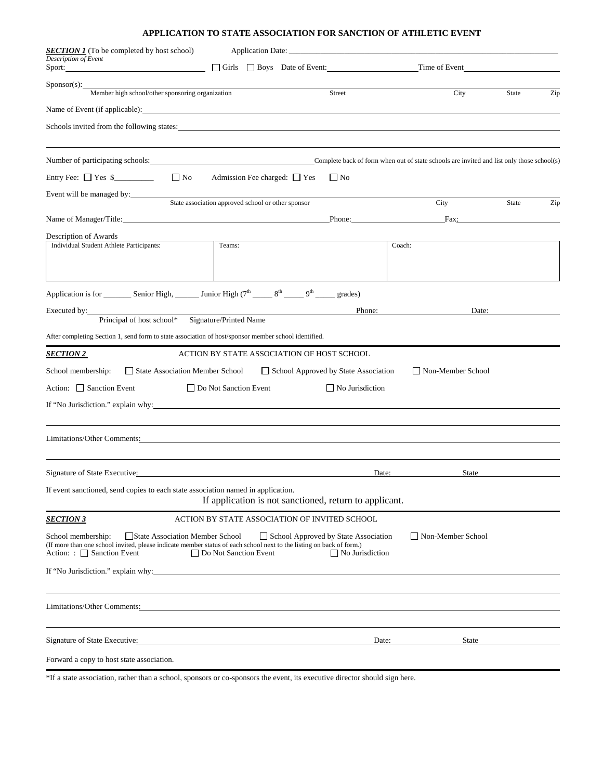## **APPLICATION TO STATE ASSOCIATION FOR SANCTION OF ATHLETIC EVENT**

| <b>SECTION 1</b> (To be completed by host school)<br>Description of Event<br>Sport:                                                                                                                              |                                                        |                                                                |                                                                                                                                                                                                                                |       |     |
|------------------------------------------------------------------------------------------------------------------------------------------------------------------------------------------------------------------|--------------------------------------------------------|----------------------------------------------------------------|--------------------------------------------------------------------------------------------------------------------------------------------------------------------------------------------------------------------------------|-------|-----|
|                                                                                                                                                                                                                  | Girls Boys Date of Event:                              |                                                                | Time of Event                                                                                                                                                                                                                  |       |     |
| $S_{\text{ponsor}(s)}$ :<br>Member high school/other sponsoring organization                                                                                                                                     |                                                        | Street                                                         | City                                                                                                                                                                                                                           | State | Zip |
| Name of Event (if applicable): Name of Event (if applicable):                                                                                                                                                    |                                                        |                                                                |                                                                                                                                                                                                                                |       |     |
| Schools invited from the following states:                                                                                                                                                                       |                                                        |                                                                |                                                                                                                                                                                                                                |       |     |
|                                                                                                                                                                                                                  |                                                        |                                                                |                                                                                                                                                                                                                                |       |     |
| Number of participating schools:                                                                                                                                                                                 |                                                        |                                                                | Complete back of form when out of state schools are invited and list only those school(s)                                                                                                                                      |       |     |
| Entry Fee: $\Box$ Yes \$<br>$\Box$ No                                                                                                                                                                            | Admission Fee charged: $\Box$ Yes                      | $\Box$ No                                                      |                                                                                                                                                                                                                                |       |     |
| Event will be managed by:                                                                                                                                                                                        |                                                        |                                                                |                                                                                                                                                                                                                                |       |     |
|                                                                                                                                                                                                                  | State association approved school or other sponsor     |                                                                | City                                                                                                                                                                                                                           | State | Zip |
| Name of Manager/Title: Name of Manager/Title:                                                                                                                                                                    |                                                        | Phone:                                                         | Fax: The contract of the contract of the contract of the contract of the contract of the contract of the contract of the contract of the contract of the contract of the contract of the contract of the contract of the contr |       |     |
| Description of Awards<br>Individual Student Athlete Participants:                                                                                                                                                | Teams:                                                 |                                                                | Coach:                                                                                                                                                                                                                         |       |     |
|                                                                                                                                                                                                                  |                                                        |                                                                |                                                                                                                                                                                                                                |       |     |
|                                                                                                                                                                                                                  |                                                        |                                                                |                                                                                                                                                                                                                                |       |     |
| Application is for __________ Senior High, ________ Junior High $(7^{\text{th}} \_ 8^{\text{th}} \_ 9^{\text{th}} \_ 9^{\text{th}} \_ 9^{\text{rades}})$                                                         |                                                        |                                                                |                                                                                                                                                                                                                                |       |     |
| Executed by:                                                                                                                                                                                                     |                                                        |                                                                | Phone:<br>Date:                                                                                                                                                                                                                |       |     |
| Principal of host school* Signature/Printed Name                                                                                                                                                                 |                                                        |                                                                |                                                                                                                                                                                                                                |       |     |
| After completing Section 1, send form to state association of host/sponsor member school identified.                                                                                                             |                                                        |                                                                |                                                                                                                                                                                                                                |       |     |
| <u>SECTION 2_</u>                                                                                                                                                                                                | ACTION BY STATE ASSOCIATION OF HOST SCHOOL             |                                                                |                                                                                                                                                                                                                                |       |     |
| School membership:<br>State Association Member School                                                                                                                                                            |                                                        | School Approved by State Association                           | Non-Member School                                                                                                                                                                                                              |       |     |
| Action: Sanction Event                                                                                                                                                                                           | $\Box$ Do Not Sanction Event                           | $\Box$ No Jurisdiction                                         |                                                                                                                                                                                                                                |       |     |
| If "No Jurisdiction." explain why:                                                                                                                                                                               |                                                        |                                                                |                                                                                                                                                                                                                                |       |     |
|                                                                                                                                                                                                                  |                                                        |                                                                |                                                                                                                                                                                                                                |       |     |
| Limitations/Other Comments:                                                                                                                                                                                      |                                                        |                                                                |                                                                                                                                                                                                                                |       |     |
|                                                                                                                                                                                                                  |                                                        |                                                                |                                                                                                                                                                                                                                |       |     |
| Signature of State Executive:                                                                                                                                                                                    |                                                        | Date:                                                          | State                                                                                                                                                                                                                          |       |     |
| If event sanctioned, send copies to each state association named in application.                                                                                                                                 | If application is not sanctioned, return to applicant. |                                                                |                                                                                                                                                                                                                                |       |     |
| <b>SECTION 3</b>                                                                                                                                                                                                 | ACTION BY STATE ASSOCIATION OF INVITED SCHOOL          |                                                                |                                                                                                                                                                                                                                |       |     |
| School membership:<br>State Association Member School<br>(If more than one school invited, please indicate member status of each school next to the listing on back of form.)<br>Action: : $\Box$ Sanction Event | □ Do Not Sanction Event                                | School Approved by State Association<br>$\Box$ No Jurisdiction | Non-Member School                                                                                                                                                                                                              |       |     |
| If "No Jurisdiction." explain why:                                                                                                                                                                               |                                                        |                                                                |                                                                                                                                                                                                                                |       |     |
|                                                                                                                                                                                                                  |                                                        |                                                                |                                                                                                                                                                                                                                |       |     |
| Limitations/Other Comments: 2002. 2003. 2014. 2015. 2016. 2017. 2018. 2019. 2016. 2017. 2018. 2019. 2017. 2017                                                                                                   |                                                        |                                                                |                                                                                                                                                                                                                                |       |     |
|                                                                                                                                                                                                                  |                                                        |                                                                |                                                                                                                                                                                                                                |       |     |
| Signature of State Executive:                                                                                                                                                                                    |                                                        | Date:                                                          | <b>State</b>                                                                                                                                                                                                                   |       |     |
| Forward a copy to host state association.                                                                                                                                                                        |                                                        |                                                                |                                                                                                                                                                                                                                |       |     |

\*If a state association, rather than a school, sponsors or co-sponsors the event, its executive director should sign here.